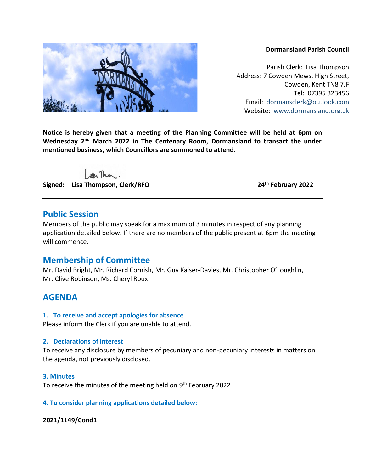#### **Dormansland Parish Council**

Parish Clerk: Lisa Thompson Address: 7 Cowden Mews, High Street, Cowden, Kent TN8 7JF Tel: 07395 323456 Email: [dormansclerk@outlook.com](mailto:dormansclerk@outlook.com) Website: [www.dormansland.org.uk](http://www.dormansland.org.uk/)

**Notice is hereby given that a meeting of the Planning Committee will be held at 6pm on**  Wednesday 2<sup>nd</sup> March 2022 in The Centenary Room, Dormansland to transact the under **mentioned business, which Councillors are summoned to attend.**

ster This.

**Signed: Lisa Thompson, Clerk/RFO 24th February 2022**

# **Public Session**

Members of the public may speak for a maximum of 3 minutes in respect of any planning application detailed below. If there are no members of the public present at 6pm the meeting will commence.

# **Membership of Committee**

Mr. David Bright, Mr. Richard Cornish, Mr. Guy Kaiser-Davies, Mr. Christopher O'Loughlin, Mr. Clive Robinson, Ms. Cheryl Roux

# **AGENDA**

#### **1. To receive and accept apologies for absence**

Please inform the Clerk if you are unable to attend.

#### **2. Declarations of interest**

To receive any disclosure by members of pecuniary and non-pecuniary interests in matters on the agenda, not previously disclosed.

#### **3. Minutes**

To receive the minutes of the meeting held on 9<sup>th</sup> February 2022

#### **4. To consider planning applications detailed below:**

#### **2021/1149/Cond1**